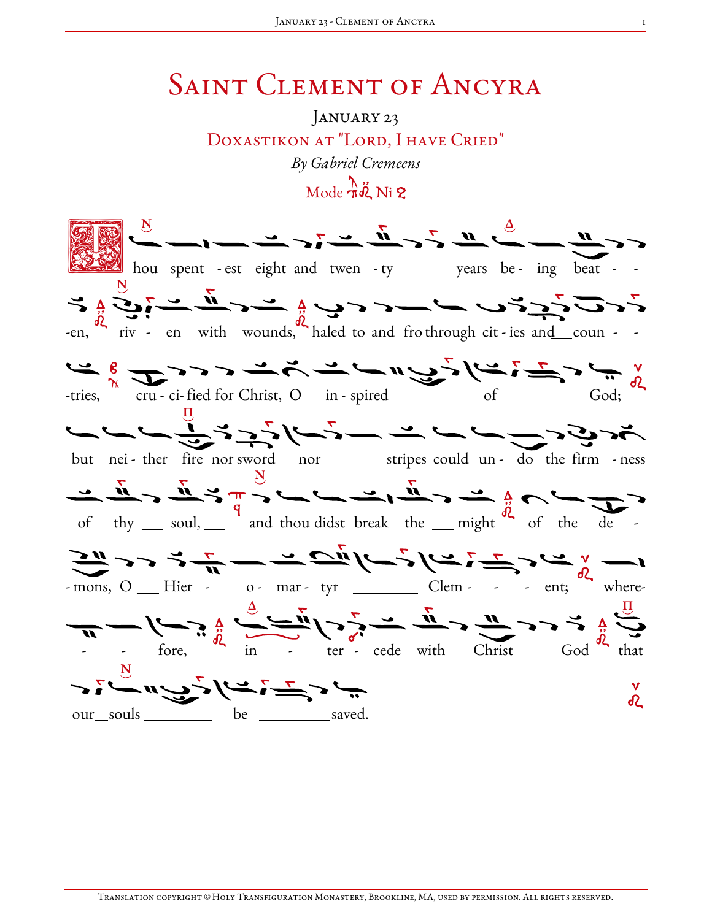## SAINT CLEMENT OF ANCYRA

## January 23 Doxastikon at "Lord, I have Cried" By Gabriel Cremeens  $\text{Mode } \frac{\lambda}{\pi} \ddot{\phi}$  Ni 2

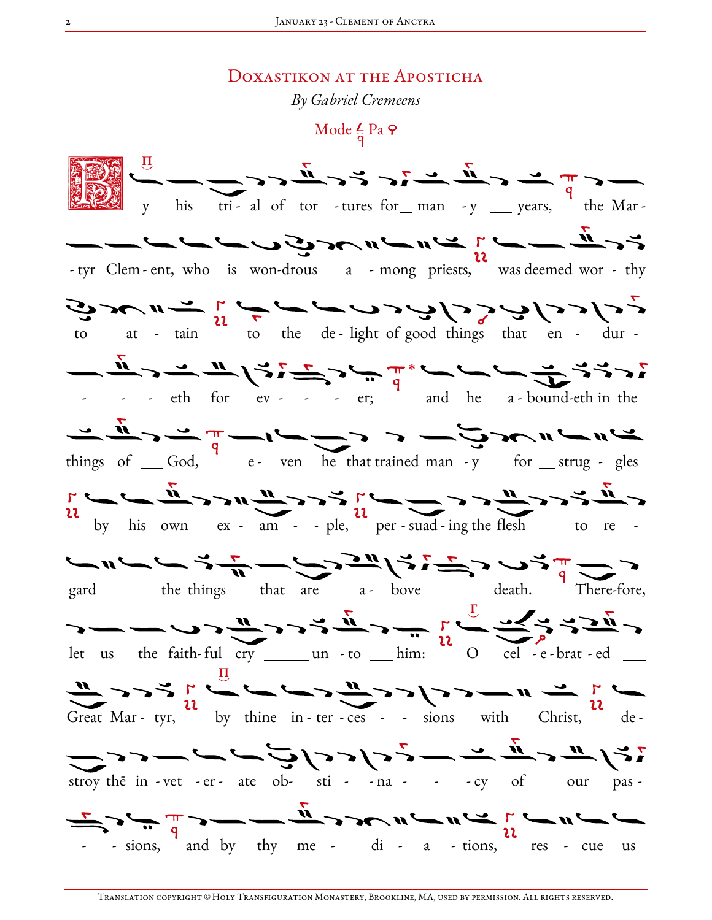## DOXASTIKON AT THE APOSTICHA

By Gabriel Cremeens

Mode  $\frac{L}{\dot{a}}$  Pa  $\varphi$